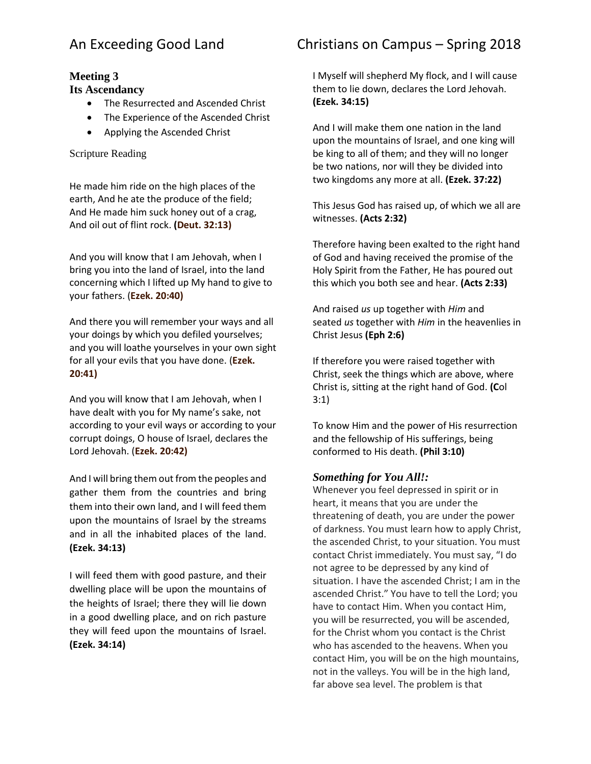# **Meeting 3**

### **Its Ascendancy**

- The Resurrected and Ascended Christ
- The Experience of the Ascended Christ
- Applying the Ascended Christ

### Scripture Reading

He made him ride on the high places of the earth, And he ate the produce of the field; And He made him suck honey out of a crag, And oil out of flint rock. **(Deut. 32:13)**

And you will know that I am Jehovah, when I bring you into the land of Israel, into the land concerning which I lifted up My hand to give to your fathers. (**Ezek. 20:40)**

And there you will remember your ways and all your doings by which you defiled yourselves; and you will loathe yourselves in your own sight for all your evils that you have done. (**Ezek. 20:41)**

And you will know that I am Jehovah, when I have dealt with you for My name's sake, not according to your evil ways or according to your corrupt doings, O house of Israel, declares the Lord Jehovah. (**Ezek. 20:42)**

And I will bring them out from the peoples and gather them from the countries and bring them into their own land, and I will feed them upon the mountains of Israel by the streams and in all the inhabited places of the land. **(Ezek. 34:13)**

I will feed them with good pasture, and their dwelling place will be upon the mountains of the heights of Israel; there they will lie down in a good dwelling place, and on rich pasture they will feed upon the mountains of Israel. **(Ezek. 34:14)**

# An Exceeding Good Land Christians on Campus – Spring 2018

I Myself will shepherd My flock, and I will cause them to lie down, declares the Lord Jehovah. **(Ezek. 34:15)**

And I will make them one nation in the land upon the mountains of Israel, and one king will be king to all of them; and they will no longer be two nations, nor will they be divided into two kingdoms any more at all. **(Ezek. 37:22)**

This Jesus God has raised up, of which we all are witnesses. **(Acts 2:32)**

Therefore having been exalted to the right hand of God and having received the promise of the Holy Spirit from the Father, He has poured out this which you both see and hear. **(Acts 2:33)**

And raised *us* up together with *Him* and seated *us* together with *Him* in the heavenlies in Christ Jesus **(Eph 2:6)**

If therefore you were raised together with Christ, seek the things which are above, where Christ is, sitting at the right hand of God. **(C**ol 3:1)

To know Him and the power of His resurrection and the fellowship of His sufferings, being conformed to His death. **(Phil 3:10)**

## *Something for You All!:*

Whenever you feel depressed in spirit or in heart, it means that you are under the threatening of death, you are under the power of darkness. You must learn how to apply Christ, the ascended Christ, to your situation. You must contact Christ immediately. You must say, "I do not agree to be depressed by any kind of situation. I have the ascended Christ; I am in the ascended Christ." You have to tell the Lord; you have to contact Him. When you contact Him, you will be resurrected, you will be ascended, for the Christ whom you contact is the Christ who has ascended to the heavens. When you contact Him, you will be on the high mountains, not in the valleys. You will be in the high land, far above sea level. The problem is that